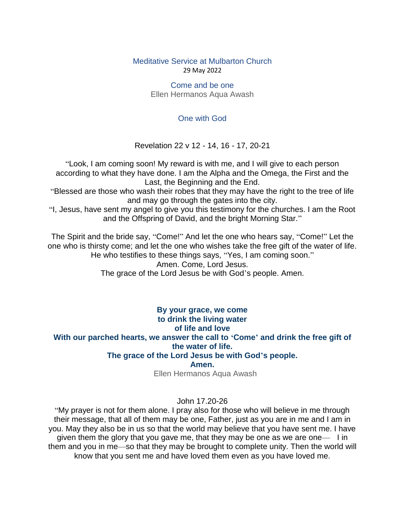Meditative Service at Mulbarton Church 29 May 2022

> Come and be one Ellen Hermanos Aqua Awash

## One with God

Revelation 22 v 12 - 14, 16 - 17, 20-21

"Look, I am coming soon! My reward is with me, and I will give to each person according to what they have done. I am the Alpha and the Omega, the First and the Last, the Beginning and the End.

"Blessed are those who wash their robes that they may have the right to the tree of life and may go through the gates into the city.

"I, Jesus, have sent my angel to give you this testimony for the churches. I am the Root and the Offspring of David, and the bright Morning Star."

The Spirit and the bride say, "Come!" And let the one who hears say, "Come!" Let the one who is thirsty come; and let the one who wishes take the free gift of the water of life. He who testifies to these things says, "Yes, I am coming soon."

Amen. Come, Lord Jesus.

The grace of the Lord Jesus be with God's people. Amen.

**By your grace, we come to drink the living water of life and love With our parched hearts, we answer the call to 'Come' and drink the free gift of the water of life. The grace of the Lord Jesus be with God's people. Amen.**

Ellen Hermanos Aqua Awash

## John 17.20-26

"My prayer is not for them alone. I pray also for those who will believe in me through their message, that all of them may be one, Father, just as you are in me and I am in you. May they also be in us so that the world may believe that you have sent me. I have given them the glory that you gave me, that they may be one as we are one— I in them and you in me—so that they may be brought to complete unity. Then the world will know that you sent me and have loved them even as you have loved me.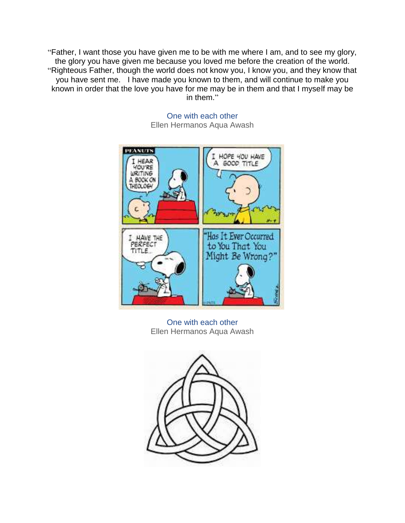"Father, I want those you have given me to be with me where I am, and to see my glory, the glory you have given me because you loved me before the creation of the world. "Righteous Father, though the world does not know you, I know you, and they know that you have sent me. I have made you known to them, and will continue to make you known in order that the love you have for me may be in them and that I myself may be in them."



One with each other Ellen Hermanos Aqua Awash

One with each other Ellen Hermanos Aqua Awash

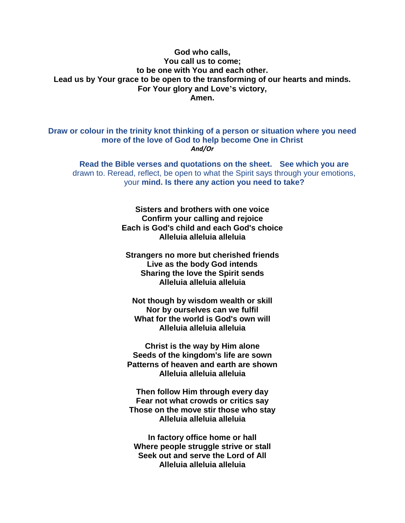## **God who calls, You call us to come; to be one with You and each other. Lead us by Your grace to be open to the transforming of our hearts and minds. For Your glory and Love's victory, Amen.**

**Draw or colour in the trinity knot thinking of a person or situation where you need more of the love of God to help become One in Christ** *And/Or*

**Read the Bible verses and quotations on the sheet. See which you are**  drawn to. Reread, reflect, be open to what the Spirit says through your emotions, your **mind. Is there any action you need to take?**

> **Sisters and brothers with one voice Confirm your calling and rejoice Each is God's child and each God's choice Alleluia alleluia alleluia**

**Strangers no more but cherished friends Live as the body God intends Sharing the love the Spirit sends Alleluia alleluia alleluia**

**Not though by wisdom wealth or skill Nor by ourselves can we fulfil What for the world is God's own will Alleluia alleluia alleluia**

**Christ is the way by Him alone Seeds of the kingdom's life are sown Patterns of heaven and earth are shown Alleluia alleluia alleluia**

**Then follow Him through every day Fear not what crowds or critics say Those on the move stir those who stay Alleluia alleluia alleluia**

**In factory office home or hall Where people struggle strive or stall Seek out and serve the Lord of All Alleluia alleluia alleluia**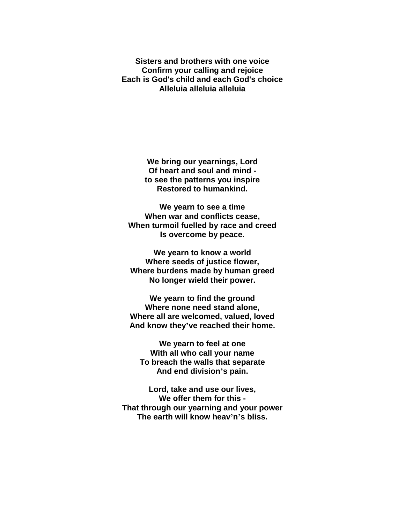**Sisters and brothers with one voice Confirm your calling and rejoice Each is God's child and each God's choice Alleluia alleluia alleluia**

> **We bring our yearnings, Lord Of heart and soul and mind to see the patterns you inspire Restored to humankind.**

**We yearn to see a time When war and conflicts cease, When turmoil fuelled by race and creed Is overcome by peace.**

**We yearn to know a world Where seeds of justice flower, Where burdens made by human greed No longer wield their power.**

**We yearn to find the ground Where none need stand alone, Where all are welcomed, valued, loved And know they've reached their home.**

**We yearn to feel at one With all who call your name To breach the walls that separate And end division's pain.**

**Lord, take and use our lives, We offer them for this - That through our yearning and your power The earth will know heav'n's bliss.**